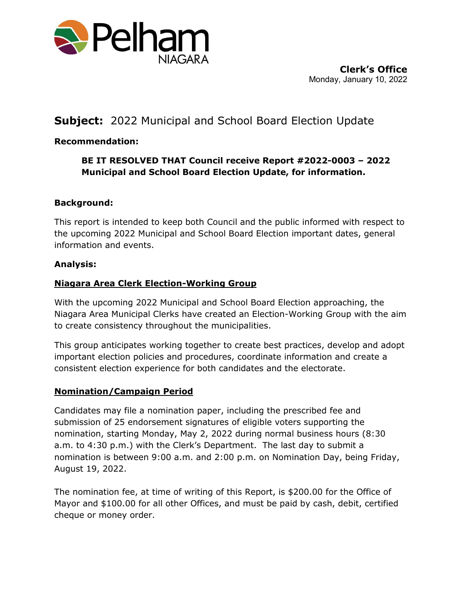

## **Subject:** 2022 Municipal and School Board Election Update

## **Recommendation:**

## **BE IT RESOLVED THAT Council receive Report #2022-0003 – 2022 Municipal and School Board Election Update, for information.**

#### **Background:**

This report is intended to keep both Council and the public informed with respect to the upcoming 2022 Municipal and School Board Election important dates, general information and events.

#### **Analysis:**

#### **Niagara Area Clerk Election-Working Group**

With the upcoming 2022 Municipal and School Board Election approaching, the Niagara Area Municipal Clerks have created an Election-Working Group with the aim to create consistency throughout the municipalities.

This group anticipates working together to create best practices, develop and adopt important election policies and procedures, coordinate information and create a consistent election experience for both candidates and the electorate.

#### **Nomination/Campaign Period**

Candidates may file a nomination paper, including the prescribed fee and submission of 25 endorsement signatures of eligible voters supporting the nomination, starting Monday, May 2, 2022 during normal business hours (8:30 a.m. to 4:30 p.m.) with the Clerk's Department. The last day to submit a nomination is between 9:00 a.m. and 2:00 p.m. on Nomination Day, being Friday, August 19, 2022.

The nomination fee, at time of writing of this Report, is \$200.00 for the Office of Mayor and \$100.00 for all other Offices, and must be paid by cash, debit, certified cheque or money order.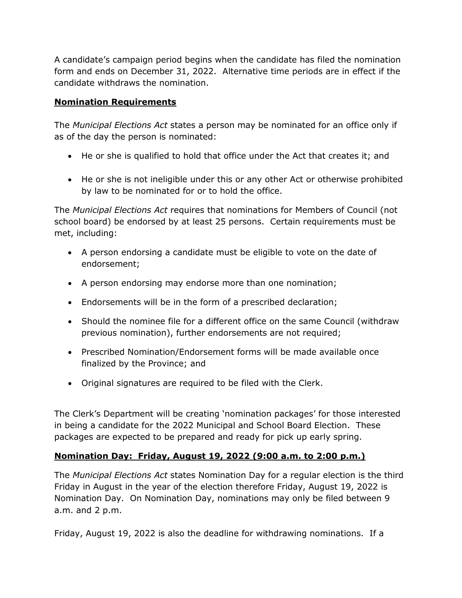A candidate's campaign period begins when the candidate has filed the nomination form and ends on December 31, 2022. Alternative time periods are in effect if the candidate withdraws the nomination.

#### **Nomination Requirements**

The *Municipal Elections Act* states a person may be nominated for an office only if as of the day the person is nominated:

- He or she is qualified to hold that office under the Act that creates it; and
- He or she is not ineligible under this or any other Act or otherwise prohibited by law to be nominated for or to hold the office.

The *Municipal Elections Act* requires that nominations for Members of Council (not school board) be endorsed by at least 25 persons. Certain requirements must be met, including:

- A person endorsing a candidate must be eligible to vote on the date of endorsement;
- A person endorsing may endorse more than one nomination;
- Endorsements will be in the form of a prescribed declaration;
- Should the nominee file for a different office on the same Council (withdraw previous nomination), further endorsements are not required;
- Prescribed Nomination/Endorsement forms will be made available once finalized by the Province; and
- Original signatures are required to be filed with the Clerk.

The Clerk's Department will be creating 'nomination packages' for those interested in being a candidate for the 2022 Municipal and School Board Election. These packages are expected to be prepared and ready for pick up early spring.

## **Nomination Day: Friday, August 19, 2022 (9:00 a.m. to 2:00 p.m.)**

The *Municipal Elections Act* states Nomination Day for a regular election is the third Friday in August in the year of the election therefore Friday, August 19, 2022 is Nomination Day. On Nomination Day, nominations may only be filed between 9 a.m. and 2 p.m.

Friday, August 19, 2022 is also the deadline for withdrawing nominations. If a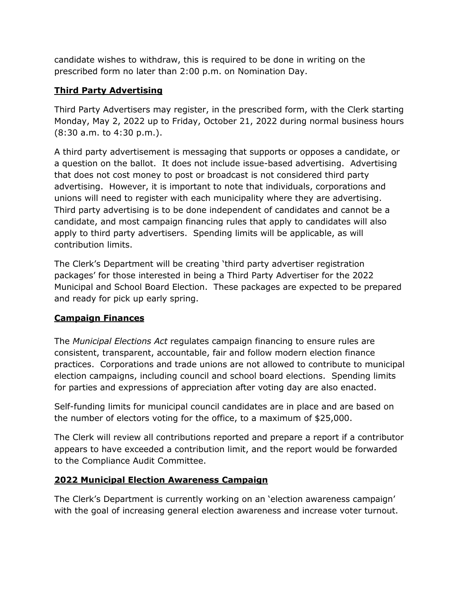candidate wishes to withdraw, this is required to be done in writing on the prescribed form no later than 2:00 p.m. on Nomination Day.

## **Third Party Advertising**

Third Party Advertisers may register, in the prescribed form, with the Clerk starting Monday, May 2, 2022 up to Friday, October 21, 2022 during normal business hours (8:30 a.m. to 4:30 p.m.).

A third party advertisement is messaging that supports or opposes a candidate, or a question on the ballot. It does not include issue-based advertising. Advertising that does not cost money to post or broadcast is not considered third party advertising. However, it is important to note that individuals, corporations and unions will need to register with each municipality where they are advertising. Third party advertising is to be done independent of candidates and cannot be a candidate, and most campaign financing rules that apply to candidates will also apply to third party advertisers. Spending limits will be applicable, as will contribution limits.

The Clerk's Department will be creating 'third party advertiser registration packages' for those interested in being a Third Party Advertiser for the 2022 Municipal and School Board Election. These packages are expected to be prepared and ready for pick up early spring.

## **Campaign Finances**

The *Municipal Elections Act* regulates campaign financing to ensure rules are consistent, transparent, accountable, fair and follow modern election finance practices. Corporations and trade unions are not allowed to contribute to municipal election campaigns, including council and school board elections. Spending limits for parties and expressions of appreciation after voting day are also enacted.

Self-funding limits for municipal council candidates are in place and are based on the number of electors voting for the office, to a maximum of \$25,000.

The Clerk will review all contributions reported and prepare a report if a contributor appears to have exceeded a contribution limit, and the report would be forwarded to the Compliance Audit Committee.

## **2022 Municipal Election Awareness Campaign**

The Clerk's Department is currently working on an 'election awareness campaign' with the goal of increasing general election awareness and increase voter turnout.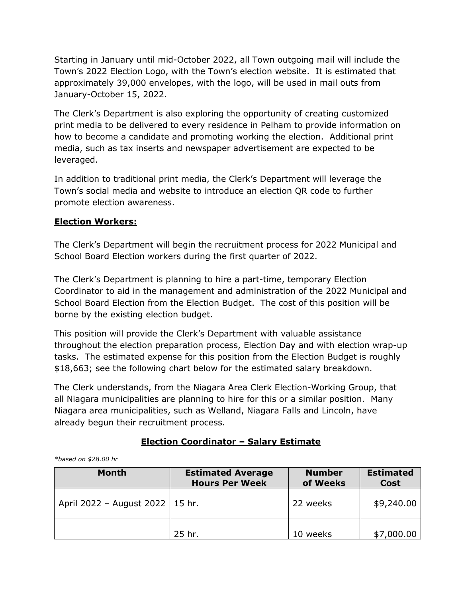Starting in January until mid-October 2022, all Town outgoing mail will include the Town's 2022 Election Logo, with the Town's election website. It is estimated that approximately 39,000 envelopes, with the logo, will be used in mail outs from January-October 15, 2022.

The Clerk's Department is also exploring the opportunity of creating customized print media to be delivered to every residence in Pelham to provide information on how to become a candidate and promoting working the election. Additional print media, such as tax inserts and newspaper advertisement are expected to be leveraged.

In addition to traditional print media, the Clerk's Department will leverage the Town's social media and website to introduce an election QR code to further promote election awareness.

## **Election Workers:**

The Clerk's Department will begin the recruitment process for 2022 Municipal and School Board Election workers during the first quarter of 2022.

The Clerk's Department is planning to hire a part-time, temporary Election Coordinator to aid in the management and administration of the 2022 Municipal and School Board Election from the Election Budget. The cost of this position will be borne by the existing election budget.

This position will provide the Clerk's Department with valuable assistance throughout the election preparation process, Election Day and with election wrap-up tasks. The estimated expense for this position from the Election Budget is roughly \$18,663; see the following chart below for the estimated salary breakdown.

The Clerk understands, from the Niagara Area Clerk Election-Working Group, that all Niagara municipalities are planning to hire for this or a similar position. Many Niagara area municipalities, such as Welland, Niagara Falls and Lincoln, have already begun their recruitment process.

## **Election Coordinator – Salary Estimate**

| <b>Month</b>                      | <b>Estimated Average</b><br><b>Hours Per Week</b> | <b>Number</b><br>of Weeks | <b>Estimated</b><br><b>Cost</b> |
|-----------------------------------|---------------------------------------------------|---------------------------|---------------------------------|
| April 2022 - August 2022   15 hr. |                                                   | 22 weeks                  | \$9,240.00                      |
|                                   | 25 hr.                                            | 10 weeks                  | \$7,000.00                      |

*\*based on \$28.00 hr*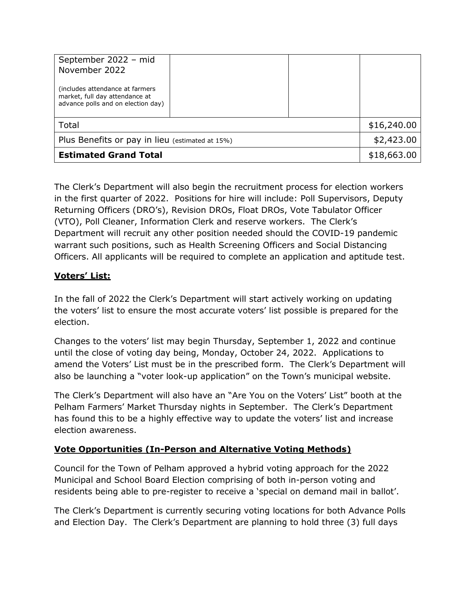| (includes attendance at farmers<br>market, full day attendance at<br>advance polls and on election day) |  |            |             |
|---------------------------------------------------------------------------------------------------------|--|------------|-------------|
| Total                                                                                                   |  |            | \$16,240.00 |
| Plus Benefits or pay in lieu (estimated at 15%)                                                         |  | \$2,423.00 |             |
| <b>Estimated Grand Total</b>                                                                            |  |            | \$18,663.00 |

The Clerk's Department will also begin the recruitment process for election workers in the first quarter of 2022. Positions for hire will include: Poll Supervisors, Deputy Returning Officers (DRO's), Revision DROs, Float DROs, Vote Tabulator Officer (VTO), Poll Cleaner, Information Clerk and reserve workers. The Clerk's Department will recruit any other position needed should the COVID-19 pandemic warrant such positions, such as Health Screening Officers and Social Distancing Officers. All applicants will be required to complete an application and aptitude test.

## **Voters' List:**

In the fall of 2022 the Clerk's Department will start actively working on updating the voters' list to ensure the most accurate voters' list possible is prepared for the election.

Changes to the voters' list may begin Thursday, September 1, 2022 and continue until the close of voting day being, Monday, October 24, 2022. Applications to amend the Voters' List must be in the prescribed form. The Clerk's Department will also be launching a "voter look-up application" on the Town's municipal website.

The Clerk's Department will also have an "Are You on the Voters' List" booth at the Pelham Farmers' Market Thursday nights in September. The Clerk's Department has found this to be a highly effective way to update the voters' list and increase election awareness.

## **Vote Opportunities (In-Person and Alternative Voting Methods)**

Council for the Town of Pelham approved a hybrid voting approach for the 2022 Municipal and School Board Election comprising of both in-person voting and residents being able to pre-register to receive a 'special on demand mail in ballot'.

The Clerk's Department is currently securing voting locations for both Advance Polls and Election Day. The Clerk's Department are planning to hold three (3) full days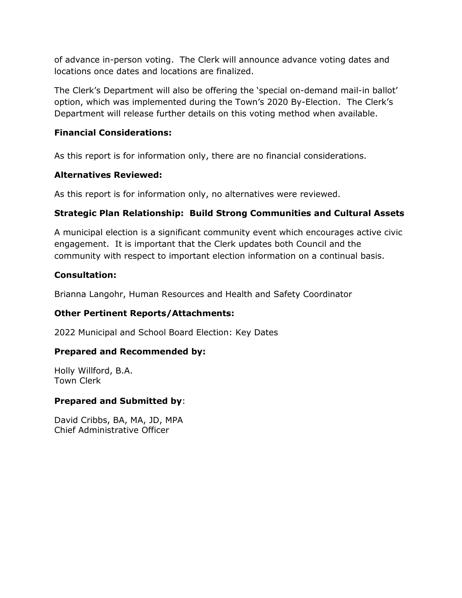of advance in-person voting. The Clerk will announce advance voting dates and locations once dates and locations are finalized.

The Clerk's Department will also be offering the 'special on-demand mail-in ballot' option, which was implemented during the Town's 2020 By-Election. The Clerk's Department will release further details on this voting method when available.

#### **Financial Considerations:**

As this report is for information only, there are no financial considerations.

#### **Alternatives Reviewed:**

As this report is for information only, no alternatives were reviewed.

## **Strategic Plan Relationship: Build Strong Communities and Cultural Assets**

A municipal election is a significant community event which encourages active civic engagement. It is important that the Clerk updates both Council and the community with respect to important election information on a continual basis.

#### **Consultation:**

Brianna Langohr, Human Resources and Health and Safety Coordinator

#### **Other Pertinent Reports/Attachments:**

2022 Municipal and School Board Election: Key Dates

#### **Prepared and Recommended by:**

Holly Willford, B.A. Town Clerk

#### **Prepared and Submitted by**:

David Cribbs, BA, MA, JD, MPA Chief Administrative Officer